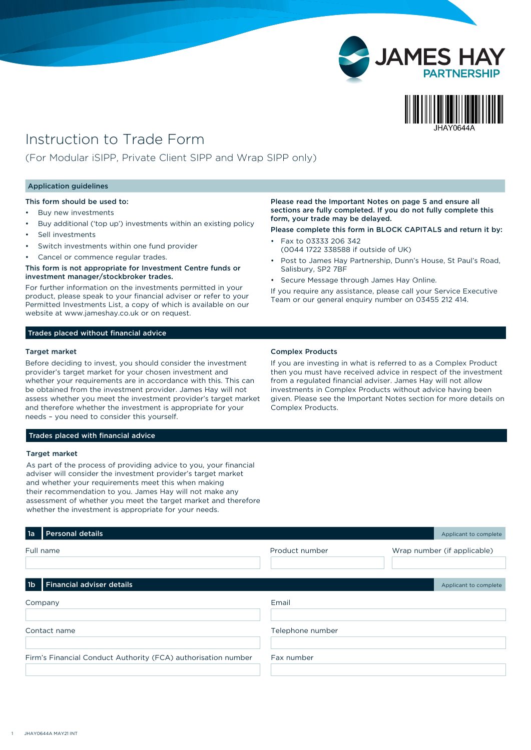

# Instruction to Trade Form

(For Modular iSIPP, Private Client SIPP and Wrap SIPP only)

#### Application guidelines

This form should be used to:

- Buy new investments
- Buy additional ('top up') investments within an existing policy
- Sell investments
- Switch investments within one fund provider
- Cancel or commence regular trades.

#### This form is not appropriate for Investment Centre funds or investment manager/stockbroker trades.

For further information on the investments permitted in your product, please speak to your financial adviser or refer to your Permitted Investments List, a copy of which is available on our website at www.jameshay.co.uk or on request.

#### Trades placed without financial advice

#### Target market

Before deciding to invest, you should consider the investment provider's target market for your chosen investment and whether your requirements are in accordance with this. This can be obtained from the investment provider. James Hay will not assess whether you meet the investment provider's target market and therefore whether the investment is appropriate for your needs – you need to consider this yourself.

Please read the Important Notes on page 5 and ensure all sections are fully completed. If you do not fully complete this form, your trade may be delayed.

Please complete this form in BLOCK CAPITALS and return it by:

- Fax to 03333 206 342 (0044 1722 338588 if outside of UK)
- Post to James Hay Partnership, Dunn's House, St Paul's Road, Salisbury, SP2 7BF
- Secure Message through James Hay Online.

If you require any assistance, please call your Service Executive Team or our general enquiry number on 03455 212 414.

### Complex Products

If you are investing in what is referred to as a Complex Product then you must have received advice in respect of the investment from a regulated financial adviser. James Hay will not allow investments in Complex Products without advice having been given. Please see the Important Notes section for more details on Complex Products.

## Trades placed with financial advice

#### Target market

As part of the process of providing advice to you, your financial adviser will consider the investment provider's target market and whether your requirements meet this when making their recommendation to you. James Hay will not make any assessment of whether you meet the target market and therefore whether the investment is appropriate for your needs.

| 1a             | <b>Personal details</b>                                       |                  | Applicant to complete       |
|----------------|---------------------------------------------------------------|------------------|-----------------------------|
|                | Full name                                                     | Product number   | Wrap number (if applicable) |
|                |                                                               |                  |                             |
|                |                                                               |                  |                             |
| 1 <sub>b</sub> | <b>Financial adviser details</b>                              |                  | Applicant to complete       |
|                | Company                                                       | Email            |                             |
|                |                                                               |                  |                             |
|                | Contact name                                                  | Telephone number |                             |
|                |                                                               |                  |                             |
|                | Firm's Financial Conduct Authority (FCA) authorisation number | Fax number       |                             |
|                |                                                               |                  |                             |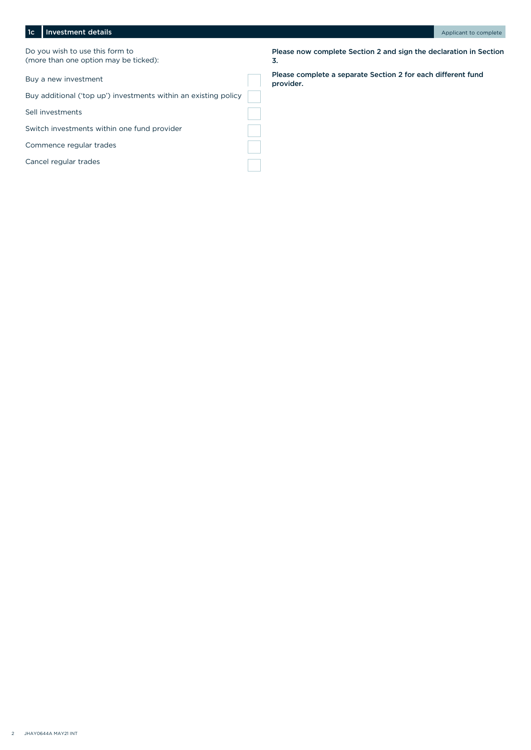# 1c Investment details and the complete of the complete of the complete of the complete of the complete of the complete

Do you wish to use this form to (more than one option may be ticked):

Buy a new investment

Buy additional ('top up') investments within an existing policy

Sell investments

Switch investments within one fund provider

Commence regular trades

Cancel regular trades

Please now complete Section 2 and sign the declaration in Section 3.

Please complete a separate Section 2 for each different fund provider.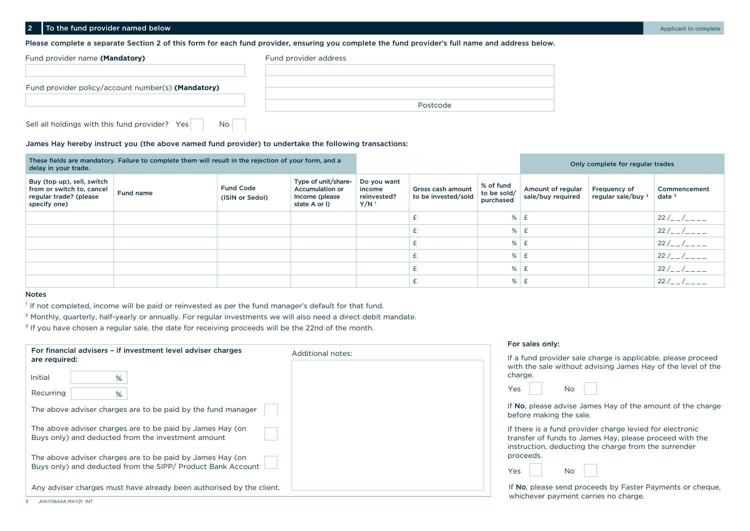Please complete a separate Section 2 of this form for each fund provider, ensuring you complete the fund provider's full name and address below.

| Fund provider name (Mandatory)                              | Fund provider address |
|-------------------------------------------------------------|-----------------------|
|                                                             |                       |
| Fund provider policy/account number(s) (Mandatory)          |                       |
|                                                             |                       |
|                                                             | Postcode              |
| Sell all holdings with this fund provider? Yes<br><b>No</b> |                       |

#### James Hay hereby instruct you (the above named fund provider) to undertake the following transactions:

| delay in your trade.                                                                              | These fields are mandatory. Failure to complete them will result in the rejection of your form, and a |                                     |                                                                                  |                                                            |                                          |                                       |                                        | Only complete for regular trades              |                          |
|---------------------------------------------------------------------------------------------------|-------------------------------------------------------------------------------------------------------|-------------------------------------|----------------------------------------------------------------------------------|------------------------------------------------------------|------------------------------------------|---------------------------------------|----------------------------------------|-----------------------------------------------|--------------------------|
| Buy (top up), sell, switch<br>from or switch to, cancel<br>regular trade? (please<br>specify one) | Fund name                                                                                             | <b>Fund Code</b><br>(ISIN or Sedol) | Type of unit/share-<br><b>Accumulation or</b><br>Income (please<br>state A or I) | Do you want<br>income<br>reinvested?<br>$Y/N$ <sup>1</sup> | Gross cash amount<br>to be invested/sold | % of fund<br>to be sold/<br>purchased | Amount of regular<br>sale/buy required | Frequency of<br>regular sale/buy <sup>2</sup> | Commencement<br>date $3$ |
|                                                                                                   |                                                                                                       |                                     |                                                                                  |                                                            |                                          | %                                     |                                        |                                               | $\mid$ 22 /_ _ /_ _ _ _  |
|                                                                                                   |                                                                                                       |                                     |                                                                                  |                                                            |                                          | %                                     |                                        |                                               | 22 /  /                  |
|                                                                                                   |                                                                                                       |                                     |                                                                                  |                                                            |                                          | %                                     |                                        |                                               | $22 / 22 / 22 = 22$      |
|                                                                                                   |                                                                                                       |                                     |                                                                                  |                                                            |                                          | %                                     |                                        |                                               | $22 / 22 / 22 = 22$      |
|                                                                                                   |                                                                                                       |                                     |                                                                                  |                                                            |                                          | %                                     |                                        |                                               | 22 /  /                  |
|                                                                                                   |                                                                                                       |                                     |                                                                                  |                                                            |                                          | %                                     |                                        |                                               | $22 / \_ - /$            |

#### Notes

<sup>1</sup> If not completed, income will be paid or reinvested as per the fund manager's default for that fund.

<sup>2</sup> Monthly, quarterly, half-yearly or annually. For regular investments we will also need a direct debit mandate.

 $3$  If you have chosen a regular sale, the date for receiving proceeds will be the 22nd of the month.

| For financial advisers - if investment level adviser charges                                                             | For sales only:                                                                                                                                                             |
|--------------------------------------------------------------------------------------------------------------------------|-----------------------------------------------------------------------------------------------------------------------------------------------------------------------------|
| are required:<br>%<br>Initial                                                                                            | Additional notes:<br>If a fund provider sale charge is applicable, please proceed<br>with the sale without advising James Hay of the level of the<br>charge.                |
| Recurring<br>%                                                                                                           | Yes<br><b>No</b>                                                                                                                                                            |
| The above adviser charges are to be paid by the fund manager                                                             | If No, please advise James Hay of the amount of the charge<br>before making the sale.                                                                                       |
| The above adviser charges are to be paid by James Hay (on<br>Buys only) and deducted from the investment amount          | If there is a fund provider charge levied for electronic<br>transfer of funds to James Hay, please proceed with the<br>instruction, deducting the charge from the surrender |
| The above adviser charges are to be paid by James Hay (on<br>Buys only) and deducted from the SIPP/ Product Bank Account | proceeds.<br>Yes<br><b>No</b>                                                                                                                                               |
| Any adviser charges must have already been authorised by the client.                                                     | If No, please send proceeds by Faster Payments or cheque,<br>whichever payment carries no charge.                                                                           |

For sales only: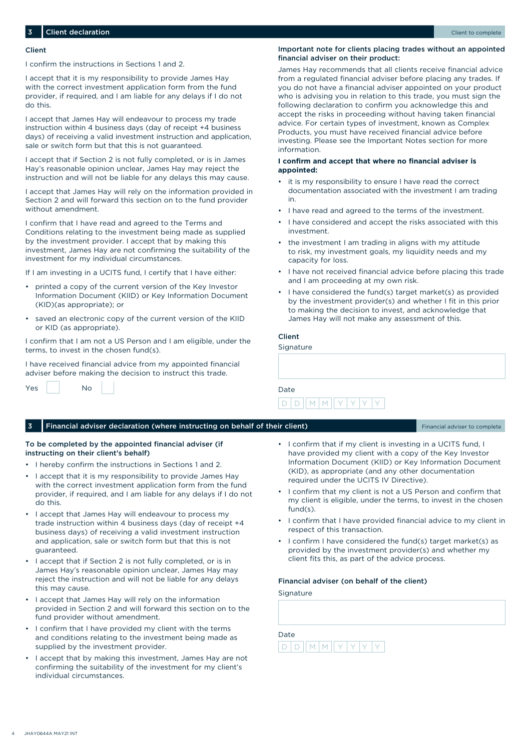#### Client

I confirm the instructions in Sections 1 and 2.

I accept that it is my responsibility to provide James Hay with the correct investment application form from the fund provider, if required, and I am liable for any delays if I do not do this.

I accept that James Hay will endeavour to process my trade instruction within 4 business days (day of receipt +4 business days) of receiving a valid investment instruction and application, sale or switch form but that this is not guaranteed.

I accept that if Section 2 is not fully completed, or is in James Hay's reasonable opinion unclear, James Hay may reject the instruction and will not be liable for any delays this may cause.

I accept that James Hay will rely on the information provided in Section 2 and will forward this section on to the fund provider without amendment.

I confirm that I have read and agreed to the Terms and Conditions relating to the investment being made as supplied by the investment provider. I accept that by making this investment, James Hay are not confirming the suitability of the investment for my individual circumstances.

If I am investing in a UCITS fund, I certify that I have either:

- printed a copy of the current version of the Key Investor Information Document (KIID) or Key Information Document (KID)(as appropriate); or
- saved an electronic copy of the current version of the KIID or KID (as appropriate).

I confirm that I am not a US Person and I am eligible, under the terms, to invest in the chosen fund(s).

I have received financial advice from my appointed financial adviser before making the decision to instruct this trade.

| Yes | No |  |
|-----|----|--|
|     |    |  |

#### Important note for clients placing trades without an appointed financial adviser on their product:

James Hay recommends that all clients receive financial advice from a regulated financial adviser before placing any trades. If you do not have a financial adviser appointed on your product who is advising you in relation to this trade, you must sign the following declaration to confirm you acknowledge this and accept the risks in proceeding without having taken financial advice. For certain types of investment, known as Complex Products, you must have received financial advice before investing. Please see the Important Notes section for more information.

## **I confirm and accept that where no financial adviser is appointed:**

- it is my responsibility to ensure I have read the correct documentation associated with the investment I am trading in.
- I have read and agreed to the terms of the investment.
- I have considered and accept the risks associated with this investment.
- the investment I am trading in aligns with my attitude to risk, my investment goals, my liquidity needs and my capacity for loss.
- I have not received financial advice before placing this trade and I am proceeding at my own risk.
- I have considered the fund(s) target market(s) as provided by the investment provider(s) and whether I fit in this prior to making the decision to invest, and acknowledge that James Hay will not make any assessment of this.

## Client

Signature

| Date |                     |  |  |  |
|------|---------------------|--|--|--|
|      | $D D   M   M   Y Y$ |  |  |  |

#### 3 Financial adviser declaration (where instructing on behalf of their client) Financial adviser to complete

To be completed by the appointed financial adviser (if instructing on their client's behalf)

- I hereby confirm the instructions in Sections 1 and 2.
- I accept that it is my responsibility to provide James Hay with the correct investment application form from the fund provider, if required, and I am liable for any delays if I do not do this.
- I accept that James Hay will endeavour to process my trade instruction within 4 business days (day of receipt +4 business days) of receiving a valid investment instruction and application, sale or switch form but that this is not guaranteed.
- I accept that if Section 2 is not fully completed, or is in James Hay's reasonable opinion unclear, James Hay may reject the instruction and will not be liable for any delays this may cause.
- I accept that James Hay will rely on the information provided in Section 2 and will forward this section on to the fund provider without amendment.
- I confirm that I have provided my client with the terms and conditions relating to the investment being made as supplied by the investment provider.
- I accept that by making this investment, James Hay are not confirming the suitability of the investment for my client's individual circumstances.
- I confirm that if my client is investing in a UCITS fund, I have provided my client with a copy of the Key Investor Information Document (KIID) or Key Information Document (KID), as appropriate (and any other documentation required under the UCITS IV Directive).
- I confirm that my client is not a US Person and confirm that my client is eligible, under the terms, to invest in the chosen fund(s).
- I confirm that I have provided financial advice to my client in respect of this transaction.
- I confirm I have considered the fund(s) target market(s) as provided by the investment provider(s) and whether my client fits this, as part of the advice process.

#### Financial adviser (on behalf of the client)

Signature

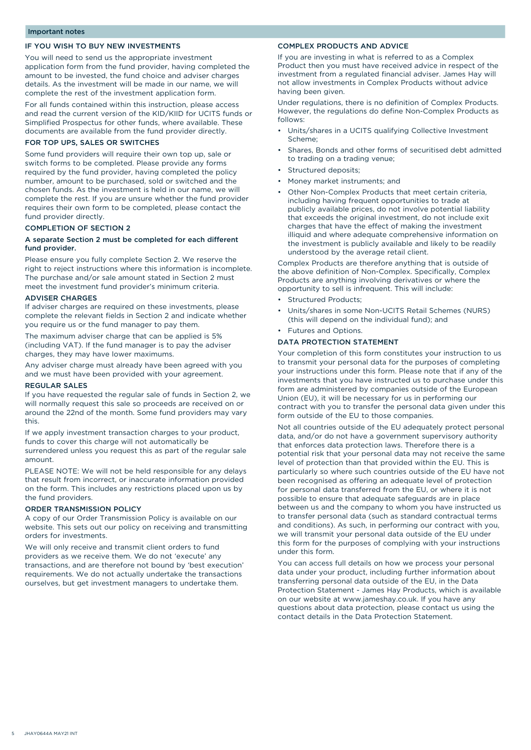# IF YOU WISH TO BUY NEW INVESTMENTS

You will need to send us the appropriate investment application form from the fund provider, having completed the amount to be invested, the fund choice and adviser charges details. As the investment will be made in our name, we will complete the rest of the investment application form.

For all funds contained within this instruction, please access and read the current version of the KID/KIID for UCITS funds or Simplified Prospectus for other funds, where available. These documents are available from the fund provider directly.

## FOR TOP UPS, SALES OR SWITCHES

Some fund providers will require their own top up, sale or switch forms to be completed. Please provide any forms required by the fund provider, having completed the policy number, amount to be purchased, sold or switched and the chosen funds. As the investment is held in our name, we will complete the rest. If you are unsure whether the fund provider requires their own form to be completed, please contact the fund provider directly.

## COMPLETION OF SECTION 2

## A separate Section 2 must be completed for each different fund provider.

Please ensure you fully complete Section 2. We reserve the right to reject instructions where this information is incomplete. The purchase and/or sale amount stated in Section 2 must meet the investment fund provider's minimum criteria.

## ADVISER CHARGES

If adviser charges are required on these investments, please complete the relevant fields in Section 2 and indicate whether you require us or the fund manager to pay them.

The maximum adviser charge that can be applied is 5% (including VAT). If the fund manager is to pay the adviser charges, they may have lower maximums.

Any adviser charge must already have been agreed with you and we must have been provided with your agreement.

#### REGULAR SALES

If you have requested the regular sale of funds in Section 2, we will normally request this sale so proceeds are received on or around the 22nd of the month. Some fund providers may vary this.

If we apply investment transaction charges to your product, funds to cover this charge will not automatically be surrendered unless you request this as part of the regular sale amount.

PLEASE NOTE: We will not be held responsible for any delays that result from incorrect, or inaccurate information provided on the form. This includes any restrictions placed upon us by the fund providers.

#### ORDER TRANSMISSION POLICY

A copy of our Order Transmission Policy is available on our website. This sets out our policy on receiving and transmitting orders for investments.

We will only receive and transmit client orders to fund providers as we receive them. We do not 'execute' any transactions, and are therefore not bound by 'best execution' requirements. We do not actually undertake the transactions ourselves, but get investment managers to undertake them.

# COMPLEX PRODUCTS AND ADVICE

If you are investing in what is referred to as a Complex Product then you must have received advice in respect of the investment from a regulated financial adviser. James Hay will not allow investments in Complex Products without advice having been given.

Under regulations, there is no definition of Complex Products. However, the regulations do define Non-Complex Products as follows:

- Units/shares in a UCITS qualifying Collective Investment Scheme;
- Shares, Bonds and other forms of securitised debt admitted to trading on a trading venue;
- Structured deposits;
- Money market instruments; and
- Other Non-Complex Products that meet certain criteria, including having frequent opportunities to trade at publicly available prices, do not involve potential liability that exceeds the original investment, do not include exit charges that have the effect of making the investment illiquid and where adequate comprehensive information on the investment is publicly available and likely to be readily understood by the average retail client.

Complex Products are therefore anything that is outside of the above definition of Non-Complex. Specifically, Complex Products are anything involving derivatives or where the opportunity to sell is infrequent. This will include:

- Structured Products;
- Units/shares in some Non-UCITS Retail Schemes (NURS) (this will depend on the individual fund); and
- Futures and Options.

#### DATA PROTECTION STATEMENT

Your completion of this form constitutes your instruction to us to transmit your personal data for the purposes of completing your instructions under this form. Please note that if any of the investments that you have instructed us to purchase under this form are administered by companies outside of the European Union (EU), it will be necessary for us in performing our contract with you to transfer the personal data given under this form outside of the EU to those companies.

Not all countries outside of the EU adequately protect personal data, and/or do not have a government supervisory authority that enforces data protection laws. Therefore there is a potential risk that your personal data may not receive the same level of protection than that provided within the EU. This is particularly so where such countries outside of the EU have not been recognised as offering an adequate level of protection for personal data transferred from the EU, or where it is not possible to ensure that adequate safeguards are in place between us and the company to whom you have instructed us to transfer personal data (such as standard contractual terms and conditions). As such, in performing our contract with you, we will transmit your personal data outside of the EU under this form for the purposes of complying with your instructions under this form.

You can access full details on how we process your personal data under your product, including further information about transferring personal data outside of the EU, in the Data Protection Statement - James Hay Products, which is available on our website at www.jameshay.co.uk. If you have any questions about data protection, please contact us using the contact details in the Data Protection Statement.